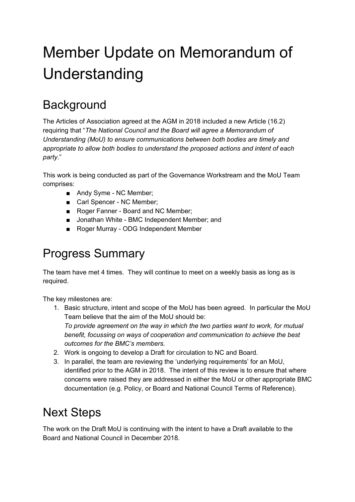## Member Update on Memorandum of Understanding

## **Background**

The Articles of Association agreed at the AGM in 2018 included a new Article (16.2) requiring that "*The National Council and the Board will agree a Memorandum of Understanding (MoU) to ensure communications between both bodies are timely and appropriate to allow both bodies to understand the proposed actions and intent of each party*."

This work is being conducted as part of the Governance Workstream and the MoU Team comprises:

- Andy Syme NC Member;
- Carl Spencer NC Member;
- Roger Fanner Board and NC Member;
- Jonathan White BMC Independent Member; and
- Roger Murray ODG Independent Member

## Progress Summary

The team have met 4 times. They will continue to meet on a weekly basis as long as is required.

The key milestones are:

- 1. Basic structure, intent and scope of the MoU has been agreed. In particular the MoU Team believe that the aim of the MoU should be: *To provide agreement on the way in which the two parties want to work, for mutual benefit, focussing on ways of cooperation and communication to achieve the best outcomes for the BMC's members.*
- 2. Work is ongoing to develop a Draft for circulation to NC and Board.
- 3. In parallel, the team are reviewing the 'underlying requirements' for an MoU, identified prior to the AGM in 2018. The intent of this review is to ensure that where concerns were raised they are addressed in either the MoU or other appropriate BMC documentation (e.g. Policy, or Board and National Council Terms of Reference).

## Next Steps

The work on the Draft MoU is continuing with the intent to have a Draft available to the Board and National Council in December 2018.